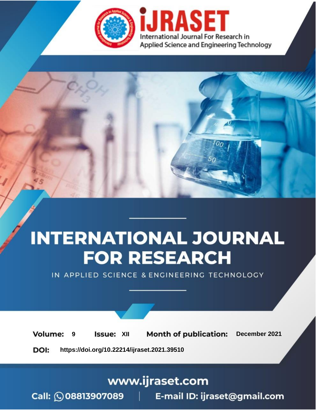

# **INTERNATIONAL JOURNAL FOR RESEARCH**

IN APPLIED SCIENCE & ENGINEERING TECHNOLOGY

**Month of publication: Volume: Issue: XII** December 2021 9 DOI: https://doi.org/10.22214/ijraset.2021.39510

www.ijraset.com

Call: 008813907089 | E-mail ID: ijraset@gmail.com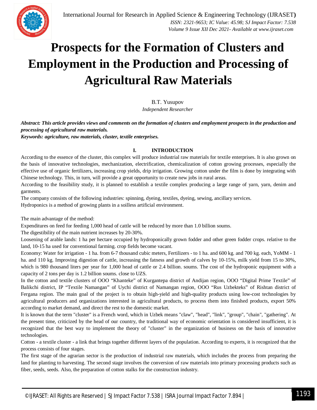### **Prospects for the Formation of Clusters and Employment in the Production and Processing of Agricultural Raw Materials**

B.T. Yusupov

*Independent Researcher*

*Abstract: This article provides views and comments on the formation of clusters and employment prospects in the production and processing of agricultural raw materials.*

*Keywords: agriculture, raw materials, cluster, textile enterprises.*

#### **I. INTRODUCTION**

According to the essence of the cluster, this complex will produce industrial raw materials for textile enterprises. It is also grown on the basis of innovative technologies, mechanization, electrification, chemicalization of cotton growing processes, especially the effective use of organic fertilizers, increasing crop yields, drip irrigation. Growing cotton under the film is done by integrating with Chinese technology. This, in turn, will provide a great opportunity to create new jobs in rural areas.

According to the feasibility study, it is planned to establish a textile complex producing a large range of yarn, yarn, denim and garments.

The company consists of the following industries: spinning, dyeing, textiles, dyeing, sewing, ancillary services.

Hydroponics is a method of growing plants in a soilless artificial environment.

The main advantage of the method:

Expenditures on feed for feeding 1,000 head of cattle will be reduced by more than 1.0 billion soums.

The digestibility of the main nutrient increases by 20-30%.

Loosening of arable lands: 1 ha per hectare occupied by hydroponically grown fodder and other green fodder crops. relative to the land, 10-15 ha used for conventional farming. crop fields become vacant.

Economy: Water for irrigation - 1 ha. from 6-7 thousand cubic meters, Fertilizers - to 1 ha. and 600 kg. and 700 kg. each, YoMM - 1 ha. and 110 kg. Improving digestion of cattle, increasing the fatness and growth of calves by 10-15%, milk yield from 15 to 30%, which is 980 thousand liters per year for 1,000 head of cattle or 2.4 billion. soums. The cost of the hydroponic equipment with a capacity of 2 tons per day is 1.2 billion soums. close to UZS.

In the cotton and textile clusters of OOO "Khanteke" of Kurgantepa district of Andijan region, OOO "Digital Prime Textile" of Balikchi district, IP "Textile Namangan" of Uychi district of Namangan region, OOO "Rus Uzbekteks" of Rishtan district of Fergana region. The main goal of the project is to obtain high-yield and high-quality products using low-cost technologies by agricultural producers and organizations interested in agricultural products, to process them into finished products, export 50% according to market demand, and direct the rest to the domestic market.

It is known that the term "cluster" is a French word, which in Uzbek means "claw", "head", "link", "group", "chain", "gathering". At the present time, criticized by the head of our country, the traditional way of economic orientation is considered insufficient, it is recognized that the best way to implement the theory of "cluster" in the organization of business on the basis of innovative technologies.

Cotton - a textile cluster - a link that brings together different layers of the population. According to experts, it is recognized that the process consists of four stages.

The first stage of the agrarian sector is the production of industrial raw materials, which includes the process from preparing the land for planting to harvesting. The second stage involves the conversion of raw materials into primary processing products such as fiber, seeds, seeds. Also, the preparation of cotton stalks for the construction industry.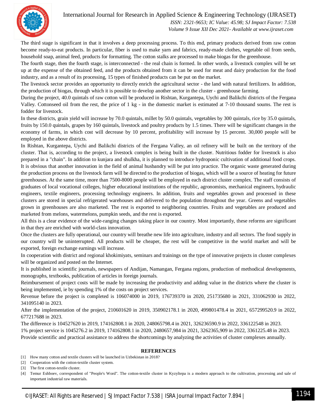International Journal for Research in Applied Science & Engineering Technology (IJRASET**)**



 *ISSN: 2321-9653; IC Value: 45.98; SJ Impact Factor: 7.538 Volume 9 Issue XII Dec 2021- Available at www.ijraset.com*

The third stage is significant in that it involves a deep processing process. To this end, primary products derived from raw cotton become ready-to-eat products. In particular, fiber is used to make yarn and fabrics, ready-made clothes, vegetable oil from seeds, household soap, animal feed, products for formatting. The cotton stalks are processed to make biogas for the greenhouse.

The fourth stage, then the fourth stage, is interconnected - the real chain is formed. In other words, a livestock complex will be set up at the expense of the obtained feed, and the products obtained from it can be used for meat and dairy production for the food industry, and as a result of its processing, 15 types of finished products can be put on the market.

The livestock sector provides an opportunity to directly enrich the agricultural sector - the land with natural fertilizers. In addition, the production of biogas, through which it is possible to develop another sector in the cluster - greenhouse farming.

During the project, 40.0 quintals of raw cotton will be produced in Rishtan, Kurgantepa, Uychi and Balikchi districts of the Fergana Valley. Cottonseed oil from the rest, the price of 1 kg - in the domestic market is estimated at 7-10 thousand soums. The rest is fodder for livestock.

In these districts, grain yield will increase by 70.0 quintals, millet by 50.0 quintals, vegetables by 300 quintals, rice by 35.0 quintals, fruits by 150.0 quintals, grapes by 160 quintals, livestock and poultry products by 1.5 times. There will be significant changes in the economy of farms, in which cost will decrease by 10 percent, profitability will increase by 15 percent. 30,000 people will be employed in the above districts.

In Rishtan, Kurgantepa, Uychi and Balikchi districts of the Fergana Valley, an oil refinery will be built on the territory of the cluster. That is, according to the project, a livestock complex is being built in the cluster. Nutritious fodder for livestock is also prepared in a "chain". In addition to kunjara and shulkha, it is planned to introduce hydroponic cultivation of additional food crops. It is obvious that another innovation in the field of animal husbandry will be put into practice. The organic waste generated during the production process on the livestock farm will be directed to the production of biogas, which will be a source of heating for future greenhouses. At the same time, more than 7500-8000 people will be employed in each district cluster complex. The staff consists of graduates of local vocational colleges, higher educational institutions of the republic, agronomists, mechanical engineers, hydraulic engineers, textile engineers, processing technology engineers. In addition, fruits and vegetables grown and processed in these clusters are stored in special refrigerated warehouses and delivered to the population throughout the year. Greens and vegetables grown in greenhouses are also marketed. The rest is exported to neighboring countries. Fruits and vegetables are produced and marketed from melons, watermelons, pumpkin seeds, and the rest is exported.

All this is a clear evidence of the wide-ranging changes taking place in our country. Most importantly, these reforms are significant in that they are enriched with world-class innovation.

Once the clusters are fully operational, our country will breathe new life into agriculture, industry and all sectors. The food supply in our country will be uninterrupted. All products will be cheaper, the rest will be competitive in the world market and will be exported, foreign exchange earnings will increase.

In cooperation with district and regional khokimiyats, seminars and trainings on the type of innovative projects in cluster complexes will be organized and posted on the Internet.

It is published in scientific journals, newspapers of Andijan, Namangan, Fergana regions, production of methodical developments, monographs, textbooks, publication of articles in foreign journals.

Reimbursement of project costs will be made by increasing the productivity and adding value in the districts where the cluster is being implemented, ie by spending 1% of the costs on project services.

Revenue before the project is completed is 106074000 in 2019, 176739370 in 2020, 251735680 in 2021, 331062930 in 2022, 341095140 in 2023.

After the implementation of the project, 210601620 in 2019, 350902178.1 in 2020, 499801478.4 in 2021, 657299520.9 in 2022, 677217688 in 2023.

The difference is 104527620 in 2019, 174162808.1 in 2020, 248065798.4 in 2021, 326236590.9 in 2022, 336122548 in 2023. 1% project service is 1045276.2 in 2019, 174162808.1 in 2020, 2480657,984 in 2021, 3262365,909 in 2022, 3361225.48 in 2023. Provide scientific and practical assistance to address the shortcomings by analyzing the activities of cluster complexes annually.

#### **REFERENCES**

- [1] How many cotton and textile clusters will be launched in Uzbekistan in 2018?
- [2] Cooperation with the cotton-textile cluster system.

[3] The first cotton-textile cluster.

[4] Temur Eshboev, correspondent of "People's Word". The cotton-textile cluster in Kyzyltepa is a modern approach to the cultivation, processing and sale of important industrial raw materials.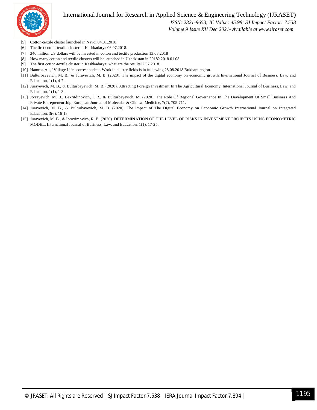

#### International Journal for Research in Applied Science & Engineering Technology (IJRASET**)**

 *ISSN: 2321-9653; IC Value: 45.98; SJ Impact Factor: 7.538*

 *Volume 9 Issue XII Dec 2021- Available at www.ijraset.com*

- [5] Cotton-textile cluster launched in Navoi 04.01.2018.
- [6] The first cotton-textile cluster in Kashkadarya 06.07.2018.
- [7] 340 million US dollars will be invested in cotton and textile production 13.08.2018
- [8] How many cotton and textile clusters will be launched in Uzbekistan in 2018? 2018.01.08
- [9] The first cotton-textile cluster in Kashkadarya: what are the results?2.07.2018.
- [10] Hamroz Ali, "Village Life" correspondent. Work in cluster fields is in full swing 28.08.2018 Bukhara region.
- [11] Bulturbayevich, M. B., & Jurayevich, M. B. (2020). The impact of the digital economy on economic growth. International Journal of Business, Law, and Education, 1(1), 4-7.
- [12] Jurayevich, M. B., & Bulturbayevich, M. B. (2020). Attracting Foreign Investment In The Agricultural Economy. International Journal of Business, Law, and Education, 1(1), 1-3.
- [13] Jo'rayevich, M. B., Baxritdinovich, I. R., & Bulturbayevich, M. (2020). The Role Of Regional Governance In The Development Of Small Business And Private Entrepreneurship. European Journal of Molecular & Clinical Medicine, 7(7), 705-711.
- [14] Jurayevich, M. B., & Bulturbayevich, M. B. (2020). The Impact of The Digital Economy on Economic Growth. International Journal on Integrated Education, 3(6), 16-18.
- [15] Jurayevich, M. B., & Ibroximovich, R. B. (2020). DETERMINATION OF THE LEVEL OF RISKS IN INVESTMENT PROJECTS USING ECONOMETRIC MODEL. International Journal of Business, Law, and Education, 1(1), 17-25.